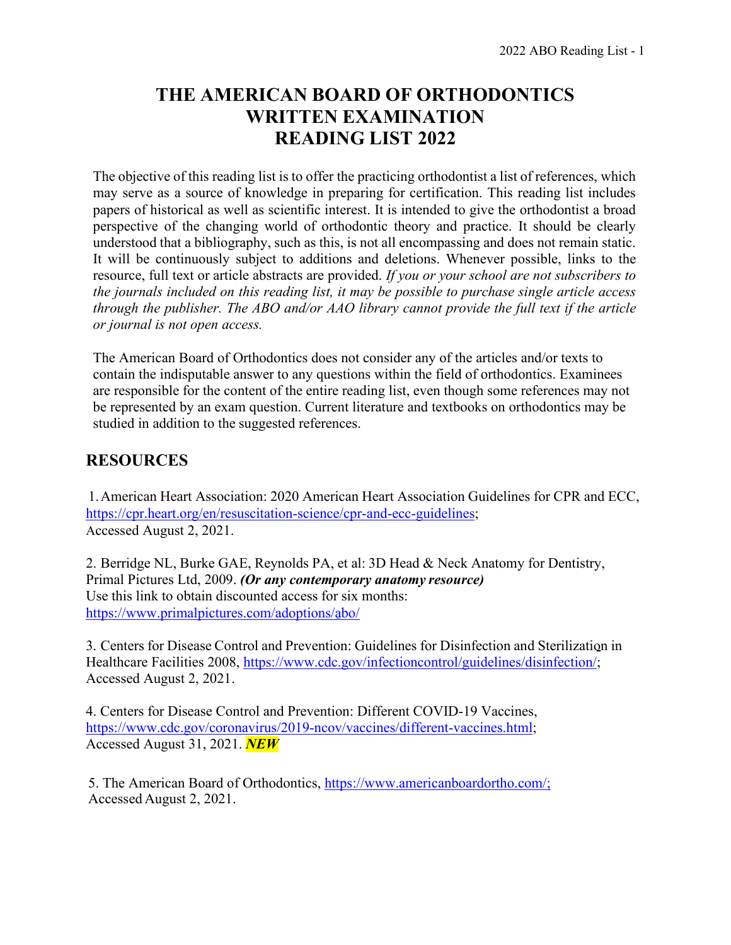# **THE AMERICAN BOARD OF ORTHODONTICS WRITTEN EXAMINATION READING LIST 2022**

The objective of this reading list is to offer the practicing orthodontist a list of references, which may serve as a source of knowledge in preparing for certification. This reading list includes papers of historical as well as scientific interest. It is intended to give the orthodontist a broad perspective of the changing world of orthodontic theory and practice. It should be clearly understood that a bibliography, such as this, is not all encompassing and does not remain static. It will be continuously subject to additions and deletions. Whenever possible, links to the resource, full text or article abstracts are provided. *If you or your school are not subscribers to the journals included on this reading list, it may be possible to purchase single article access through the publisher. The ABO and/or AAO library cannot provide the full text if the article or journal is not open access.*

The American Board of Orthodontics does not consider any of the articles and/or texts to contain the indisputable answer to any questions within the field of orthodontics. Examinees are responsible for the content of the entire reading list, even though some references may not be represented by an exam question. Current literature and textbooks on orthodontics may be studied in addition to the suggested references.

# **RESOURCES**

1.American Heart Association: 2020 American Heart Association Guidelines for CPR and ECC, [https://cpr.heart.org/en/resuscitation-science/cpr-and-ecc-guidelines;](https://cpr.heart.org/en/resuscitation-science/cpr-and-ecc-guidelines) Accessed August 2, 2021.

2. Berridge NL, Burke GAE, Reynolds PA, et al: 3D Head & Neck Anatomy for Dentistry, Primal Pictures Ltd, 2009. *(Or any contemporary anatomy resource)* Use this link to obtain discounted access for six months: <https://www.primalpictures.com/adoptions/abo/>

3. Centers for Disease Control and Prevention: Guidelines for Disinfection and Sterilization in Healthcare Facilities 2008, [https://www.cdc.gov/infectioncontrol/guidelines/disinfection/;](https://www.cdc.gov/infectioncontrol/guidelines/disinfection/) Accessed August 2, 2021.

4. Centers for Disease Control and Prevention: Different COVID-19 Vaccines, [https://www.cdc.gov/coronavirus/2019-ncov/vaccines/different-vaccines.html;](https://www.cdc.gov/coronavirus/2019-ncov/vaccines/different-vaccines.html) Accessed August 31, 2021. *NEW*

5. The American Board of Orthodontics,<https://www.americanboardortho.com/;> Accessed August 2, 2021.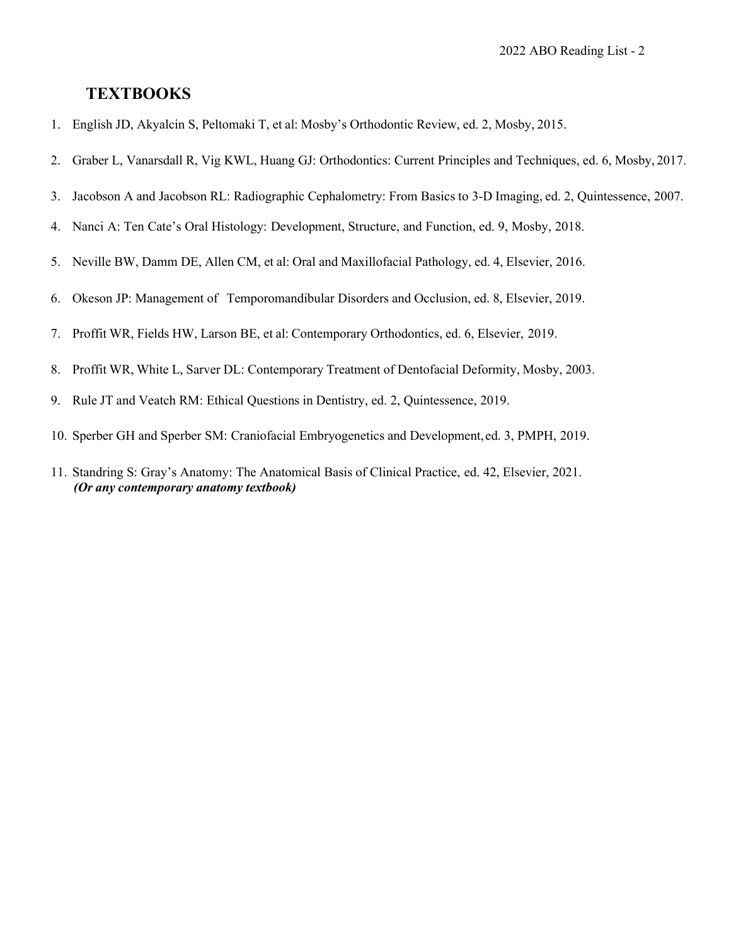#### **TEXTBOOKS**

- 1. English JD, Akyalcin S, Peltomaki T, et al: Mosby's Orthodontic Review, ed. 2, Mosby, 2015.
- 2. Graber L, Vanarsdall R, Vig KWL, Huang GJ: Orthodontics: Current Principles and Techniques, ed. 6, Mosby, 2017.
- 3. Jacobson A and Jacobson RL: Radiographic Cephalometry: From Basics to 3-D Imaging, ed. 2, Quintessence, 2007.
- 4. Nanci A: Ten Cate's Oral Histology: Development, Structure, and Function, ed. 9, Mosby, 2018.
- 5. Neville BW, Damm DE, Allen CM, et al: Oral and Maxillofacial Pathology, ed. 4, Elsevier, 2016.
- 6. Okeson JP: Management of Temporomandibular Disorders and Occlusion, ed. 8, Elsevier, 2019.
- 7. Proffit WR, Fields HW, Larson BE, et al: Contemporary Orthodontics, ed. 6, Elsevier, 2019.
- 8. Proffit WR, White L, Sarver DL: Contemporary Treatment of Dentofacial Deformity, Mosby, 2003.
- 9. Rule JT and Veatch RM: Ethical Questions in Dentistry, ed. 2, Quintessence, 2019.
- 10. Sperber GH and Sperber SM: Craniofacial Embryogenetics and Development,ed. 3, PMPH, 2019.
- 11. Standring S: Gray's Anatomy: The Anatomical Basis of Clinical Practice, ed. 42, Elsevier, 2021. *(Or any contemporary anatomy textbook)*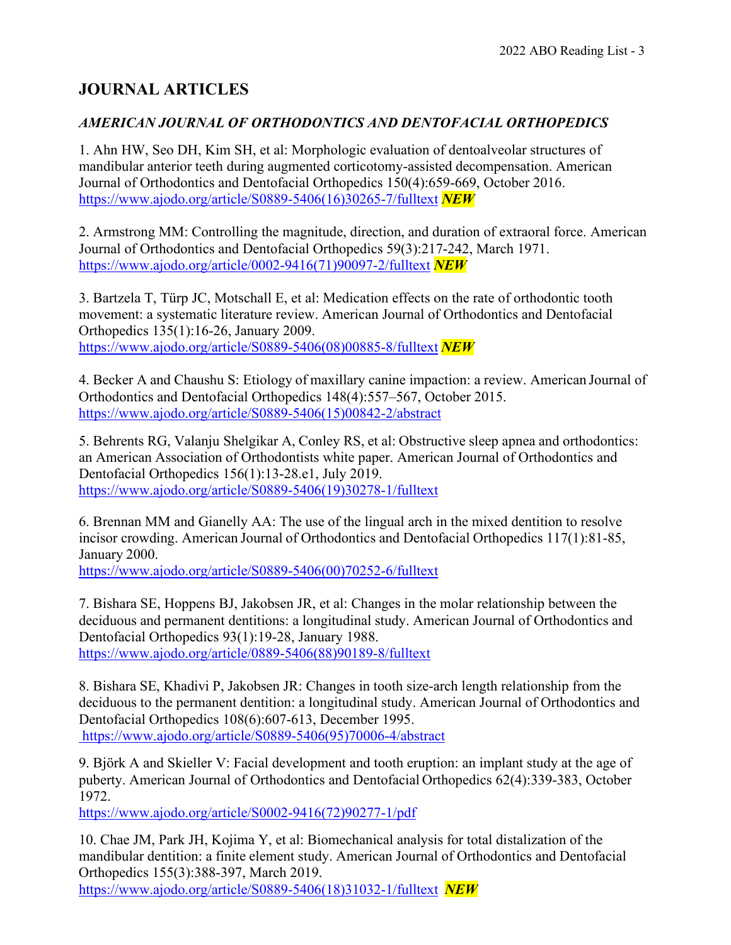# **JOURNAL ARTICLES**

#### *AMERICAN JOURNAL OF ORTHODONTICS AND DENTOFACIAL ORTHOPEDICS*

1. Ahn HW, Seo DH, Kim SH, et al: Morphologic evaluation of dentoalveolar structures of mandibular anterior teeth during augmented corticotomy-assisted decompensation. American Journal of Orthodontics and Dentofacial Orthopedics 150(4):659-669, October 2016. [https://www.ajodo.org/article/S0889-5406\(16\)30265-7/fulltext](https://www.ajodo.org/article/S0889-5406(16)30265-7/fulltext) *NEW*

2. Armstrong MM: Controlling the magnitude, direction, and duration of extraoral force. American Journal of Orthodontics and Dentofacial Orthopedics 59(3):217-242, March 1971. [https://www.ajodo.org/article/0002-9416\(71\)90097-2/fulltext](https://www.ajodo.org/article/0002-9416(71)90097-2/fulltext) *NEW*

3. Bartzela T, Türp JC, Motschall E, et al: Medication effects on the rate of orthodontic tooth movement: a systematic literature review. American Journal of Orthodontics and Dentofacial Orthopedics 135(1):16-26, January 2009. [https://www.ajodo.org/article/S0889-5406\(08\)00885-8/fulltext](https://www.ajodo.org/article/S0889-5406(08)00885-8/fulltext) *NEW*

4. Becker A and Chaushu S: Etiology of maxillary canine impaction: a review. American Journal of Orthodontics and Dentofacial Orthopedics 148(4):557–567, October 2015. [https://www.ajodo.org/article/S0889-5406\(15\)00842-2/abstract](https://www.ajodo.org/article/S0889-5406(15)00842-2/abstract)

5. Behrents RG, Valanju Shelgikar A, Conley RS, et al: Obstructive sleep apnea and orthodontics: an American Association of Orthodontists white paper. American Journal of Orthodontics and Dentofacial Orthopedics 156(1):13-28.e1, July 2019. [https://www.ajodo.org/article/S0889-5406\(19\)30278-1/fulltext](https://www.ajodo.org/article/S0889-5406(19)30278-1/fulltext)

6. Brennan MM and Gianelly AA: The use of the lingual arch in the mixed dentition to resolve incisor crowding. American Journal of Orthodontics and Dentofacial Orthopedics 117(1):81-85, January 2000.

[https://www.ajodo.org/article/S0889-5406\(00\)70252-6/fulltext](https://www.ajodo.org/article/S0889-5406(00)70252-6/fulltext)

7. Bishara SE, Hoppens BJ, Jakobsen JR, et al: Changes in the molar relationship between the deciduous and permanent dentitions: a longitudinal study. American Journal of Orthodontics and Dentofacial Orthopedics 93(1):19-28, January 1988. [https://www.ajodo.org/article/0889-5406\(88\)90189-8/fulltext](https://www.ajodo.org/article/0889-5406(88)90189-8/fulltext)

8. Bishara SE, Khadivi P, Jakobsen JR: Changes in tooth size-arch length relationship from the deciduous to the permanent dentition: a longitudinal study. American Journal of Orthodontics and Dentofacial Orthopedics 108(6):607-613, December 1995. [https://www.ajodo.org/article/S0889-5406\(95\)70006-4/abstract](https://www.ajodo.org/article/S0889-5406(95)70006-4/abstract)

9. Björk A and Skieller V: Facial development and tooth eruption: an implant study at the age of puberty. American Journal of Orthodontics and Dentofacial Orthopedics 62(4):339-383, October 1972.

[https://www.ajodo.org/article/S0002-9416\(72\)90277-1/pdf](https://www.ajodo.org/article/S0002-9416(72)90277-1/pdf)

10. Chae JM, Park JH, Kojima Y, et al: Biomechanical analysis for total distalization of the mandibular dentition: a finite element study. American Journal of Orthodontics and Dentofacial Orthopedics 155(3):388-397, March 2019. [https://www.ajodo.org/article/S0889-5406\(18\)31032-1/fulltext](https://www.ajodo.org/article/S0889-5406(18)31032-1/fulltext) *NEW*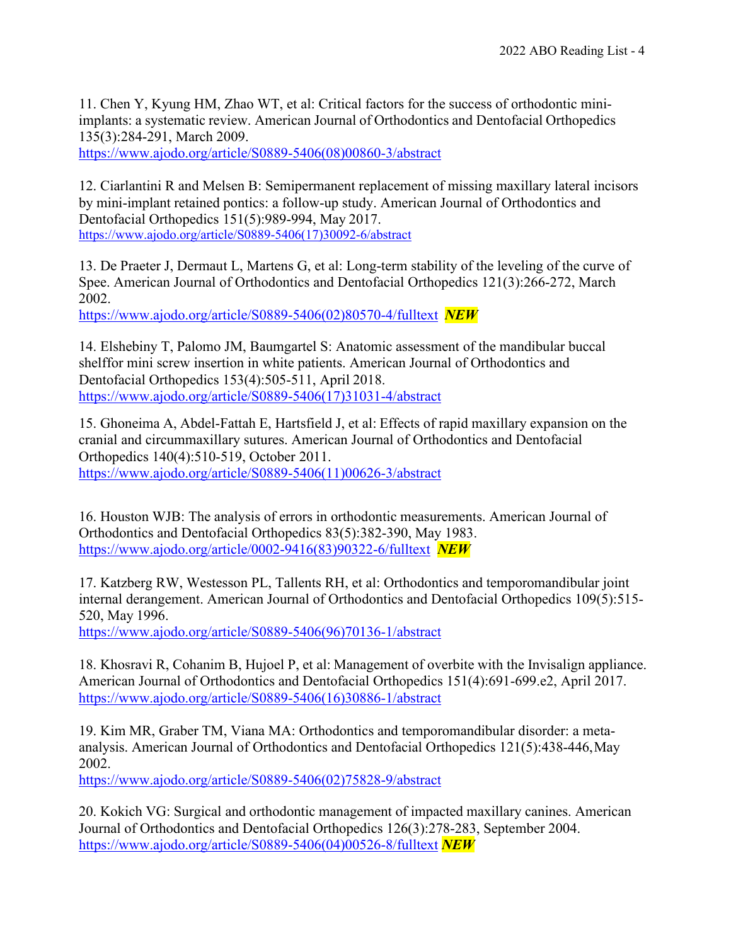11. Chen Y, Kyung HM, Zhao WT, et al: Critical factors for the success of orthodontic miniimplants: a systematic review. American Journal of Orthodontics and Dentofacial Orthopedics 135(3):284-291, March 2009.

[https://www.ajodo.org/article/S0889-5406\(08\)00860-3/abstract](https://www.ajodo.org/article/S0889-5406(08)00860-3/abstract)

12. Ciarlantini R and Melsen B: Semipermanent replacement of missing maxillary lateral incisors by mini-implant retained pontics: a follow-up study. American Journal of Orthodontics and Dentofacial Orthopedics 151(5):989-994, May 2017. [https://www.ajodo.org/article/S0889-5406\(17\)30092-6/abstract](https://www.ajodo.org/article/S0889-5406(17)30092-6/abstract)

13. De Praeter J, Dermaut L, Martens G, et al: Long-term stability of the leveling of the curve of Spee. American Journal of Orthodontics and Dentofacial Orthopedics 121(3):266-272, March 2002.

[https://www.ajodo.org/article/S0889-5406\(02\)80570-4/fulltext](https://www.ajodo.org/article/S0889-5406(02)80570-4/fulltext) *NEW*

14. Elshebiny T, Palomo JM, Baumgartel S: Anatomic assessment of the mandibular buccal shelffor mini screw insertion in white patients. American Journal of Orthodontics and Dentofacial Orthopedics 153(4):505-511, April 2018. [https://www.ajodo.org/article/S0889-5406\(17\)31031-4/abstract](https://www.ajodo.org/article/S0889-5406(17)31031-4/abstract)

15. Ghoneima A, [Abdel-Fattah](https://www.ncbi.nlm.nih.gov/pubmed/?term=Abdel-Fattah%20E%255BAuthor%255D&%3Bcauthor=true&%3Bcauthor_uid=21967938) E, [Hartsfield](https://www.ncbi.nlm.nih.gov/pubmed/?term=Hartsfield%20J%255BAuthor%255D&%3Bcauthor=true&%3Bcauthor_uid=21967938) J, et al: Effects of rapid maxillary expansion on the cranial and circummaxillary sutures. American Journal of Orthodontics and Dentofacial Orthopedics 140(4):510-519, October 2011. [https://www.ajodo.org/article/S0889-5406\(11\)00626-3/abstract](https://www.ajodo.org/article/S0889-5406(11)00626-3/abstract)

16. Houston WJB: The analysis of errors in orthodontic measurements. American Journal of Orthodontics and Dentofacial Orthopedics 83(5):382-390, May 1983. [https://www.ajodo.org/article/0002-9416\(83\)90322-6/fulltext](https://www.ajodo.org/article/0002-9416(83)90322-6/fulltext) *NEW*

17. Katzberg RW, Westesson PL, Tallents RH, et al: Orthodontics and temporomandibular joint internal derangement. American Journal of Orthodontics and Dentofacial Orthopedics 109(5):515- 520, May 1996.

[https://www.ajodo.org/article/S0889-5406\(96\)70136-1/abstract](https://www.ajodo.org/article/S0889-5406(96)70136-1/abstract)

18. Khosravi R, Cohanim B, Hujoel P, et al: Management of overbite with the Invisalign appliance. American Journal of Orthodontics and Dentofacial Orthopedics 151(4):691-699.e2, April 2017. [https://www.ajodo.org/article/S0889-5406\(16\)30886-1/abstract](https://www.ajodo.org/article/S0889-5406(16)30886-1/abstract)

19. Kim MR, Graber TM, Viana MA: Orthodontics and temporomandibular disorder: a metaanalysis. American Journal of Orthodontics and Dentofacial Orthopedics 121(5):438-446,May 2002.

[https://www.ajodo.org/article/S0889-5406\(02\)75828-9/abstract](https://www.ajodo.org/article/S0889-5406(02)75828-9/abstract)

20. Kokich VG: Surgical and orthodontic management of impacted maxillary canines. American Journal of Orthodontics and Dentofacial Orthopedics 126(3):278-283, September 2004. [https://www.ajodo.org/article/S0889-5406\(04\)00526-8/fulltext](https://www.ajodo.org/article/S0889-5406(04)00526-8/fulltext) *NEW*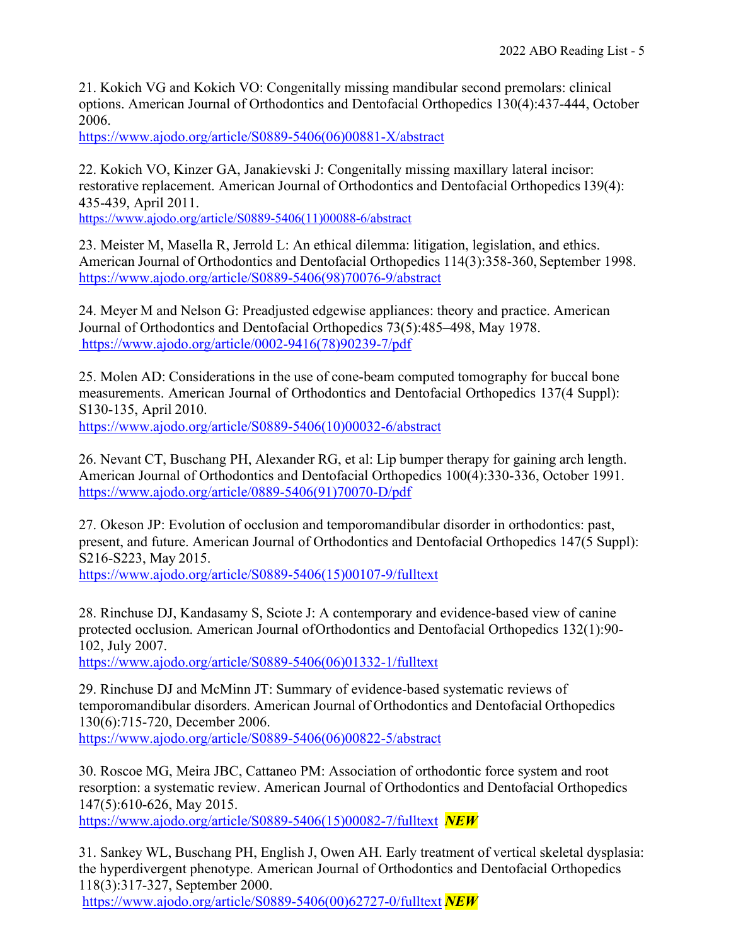21. Kokich VG and Kokich VO: Congenitally missing mandibular second premolars: clinical options. American Journal of Orthodontics and Dentofacial Orthopedics 130(4):437-444, October 2006.

[https://www.ajodo.org/article/S0889-5406\(06\)00881-X/abstract](https://www.ajodo.org/article/S0889-5406(06)00881-X/abstract)

22. Kokich VO, Kinzer GA, Janakievski J: Congenitally missing maxillary lateral incisor: restorative replacement. American Journal of Orthodontics and Dentofacial Orthopedics 139(4): 435-439, April 2011.

[https://www.ajodo.org/article/S0889-5406\(11\)00088-6/abstract](https://www.ajodo.org/article/S0889-5406(11)00088-6/abstract)

23. Meister M, Masella R, Jerrold L: An ethical dilemma: litigation, legislation, and ethics. American Journal of Orthodontics and Dentofacial Orthopedics 114(3):358-360, September 1998. [https://www.ajodo.org/article/S0889-5406\(98\)70076-9/abstract](https://www.ajodo.org/article/S0889-5406(98)70076-9/abstract)

24. Meyer M and Nelson G: Preadjusted edgewise appliances: theory and practice. American Journal of Orthodontics and Dentofacial Orthopedics 73(5):485–498, May 1978. [https://www.ajodo.org/article/0002-9416\(78\)90239-7/pdf](https://www.ajodo.org/article/0002-9416(78)90239-7/pdf)

25. Molen AD: Considerations in the use of cone-beam computed tomography for buccal bone measurements. American Journal of Orthodontics and Dentofacial Orthopedics 137(4 Suppl): S130-135, April 2010.

[https://www.ajodo.org/article/S0889-5406\(10\)00032-6/abstract](https://www.ajodo.org/article/S0889-5406(10)00032-6/abstract)

26. Nevant CT, Buschang PH, Alexander RG, et al: Lip bumper therapy for gaining arch length. American Journal of Orthodontics and Dentofacial Orthopedics 100(4):330-336, October 1991. [https://www.ajodo.org/article/0889-5406\(91\)70070-D/pdf](https://www.ajodo.org/article/0889-5406(91)70070-D/pdf)

27. Okeson JP: Evolution of occlusion and temporomandibular disorder in orthodontics: past, present, and future. American Journal of Orthodontics and Dentofacial Orthopedics 147(5 Suppl): S216-S223, May 2015.

[https://www.ajodo.org/article/S0889-5406\(15\)00107-9/fulltext](https://www.ajodo.org/article/S0889-5406(15)00107-9/fulltext)

28. Rinchuse DJ, Kandasamy S, Sciote J: A contemporary and evidence-based view of canine protected occlusion. American Journal ofOrthodontics and Dentofacial Orthopedics 132(1):90- 102, July 2007.

[https://www.ajodo.org/article/S0889-5406\(06\)01332-1/fulltext](https://www.ajodo.org/article/S0889-5406(06)01332-1/fulltext)

29. Rinchuse DJ and McMinn JT: Summary of evidence-based systematic reviews of temporomandibular disorders. American Journal of Orthodontics and Dentofacial Orthopedics 130(6):715-720, December 2006. [https://www.ajodo.org/article/S0889-5406\(06\)00822-5/abstract](https://www.ajodo.org/article/S0889-5406(06)00822-5/abstract)

30. Roscoe MG, Meira JBC, Cattaneo PM: Association of orthodontic force system and root resorption: a systematic review. American Journal of Orthodontics and Dentofacial Orthopedics 147(5):610-626, May 2015.

[https://www.ajodo.org/article/S0889-5406\(15\)00082-7/fulltext](https://www.ajodo.org/article/S0889-5406(15)00082-7/fulltext) *NEW*

31. Sankey WL, Buschang PH, English J, Owen AH. Early treatment of vertical skeletal dysplasia: the hyperdivergent phenotype. American Journal of Orthodontics and Dentofacial Orthopedics 118(3):317-327, September 2000.

[https://www.ajodo.org/article/S0889-5406\(00\)62727-0/fulltext](https://www.ajodo.org/article/S0889-5406(00)62727-0/fulltext) *NEW*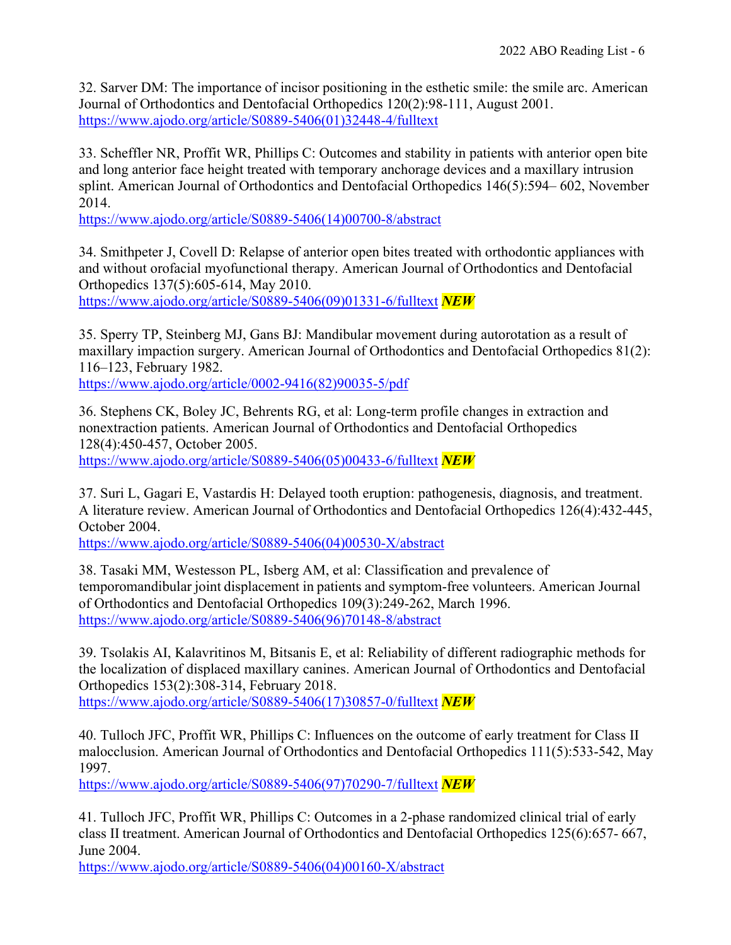32. Sarver DM: The importance of incisor positioning in the esthetic smile: the smile arc. American Journal of Orthodontics and Dentofacial Orthopedics 120(2):98-111, August 2001. [https://www.ajodo.org/article/S0889-5406\(01\)32448-4/fulltext](https://www.ajodo.org/article/S0889-5406(01)32448-4/fulltext)

33. [Scheffler N](https://www.ncbi.nlm.nih.gov/pubmed/?term=Scheffler%20NR%255BAuthor%255D&%3Bcauthor=true&%3Bcauthor_uid=25439210)R, [Proffit W](https://www.ncbi.nlm.nih.gov/pubmed/?term=Proffit%20WR%255BAuthor%255D&%3Bcauthor=true&%3Bcauthor_uid=25439210)R, Phillips C: Outcomes and stability in patients with anterior open bite and long anterior face height treated with temporary anchorage devices and a maxillary intrusion splint. [American Journal of Orthodontics and Dentofacial Orthopedics 146\(5\):594–](https://www.ncbi.nlm.nih.gov/entrez/eutils/elink.fcgi?dbfrom=pubmed&%3Bretmode=ref&%3Bcmd=prlinks&%3Bid=25439210) [602,](https://www.ncbi.nlm.nih.gov/entrez/eutils/elink.fcgi?dbfrom=pubmed&%3Bretmode=ref&%3Bcmd=prlinks&%3Bid=25439210) November 2014.

[https://www.ajodo.org/article/S0889-5406\(14\)00700-8/abstract](https://www.ajodo.org/article/S0889-5406(14)00700-8/abstract)

34. Smithpeter J, Covell D: Relapse of anterior open bites treated with orthodontic appliances with and without orofacial myofunctional therapy. American Journal of Orthodontics and Dentofacial Orthopedics 137(5):605-614, May 2010. [https://www.ajodo.org/article/S0889-5406\(09\)01331-6/fulltext](https://www.ajodo.org/article/S0889-5406(09)01331-6/fulltext) *NEW*

35. Sperry TP, Steinberg MJ, Gans BJ: Mandibular movement during autorotation as a result of maxillary impaction surgery. American Journal of Orthodontics and Dentofacial Orthopedics 81(2): 116–123, February 1982.

[https://www.ajodo.org/article/0002-9416\(82\)90035-5/pdf](https://www.ajodo.org/article/0002-9416(82)90035-5/pdf)

36. Stephens CK, Boley JC, Behrents RG, et al: Long-term profile changes in extraction and nonextraction patients. American Journal of Orthodontics and Dentofacial Orthopedics 128(4):450-457, October 2005. [https://www.ajodo.org/article/S0889-5406\(05\)00433-6/fulltext](https://www.ajodo.org/article/S0889-5406(05)00433-6/fulltext) *NEW*

37. Suri L, Gagari E, Vastardis H: Delayed tooth eruption: pathogenesis, diagnosis, and treatment. A literature review. American Journal of Orthodontics and Dentofacial Orthopedics 126(4):432-445, October 2004.

[https://www.ajodo.org/article/S0889-5406\(04\)00530-X/abstract](https://www.ajodo.org/article/S0889-5406(04)00530-X/abstract)

38. Tasaki MM, Westesson PL, Isberg AM, et al: Classification and prevalence of temporomandibular joint displacement in patients and symptom-free volunteers. American Journal of Orthodontics and Dentofacial Orthopedics 109(3):249-262, March 1996. [https://www.ajodo.org/article/S0889-5406\(96\)70148-8/abstract](https://www.ajodo.org/article/S0889-5406(96)70148-8/abstract)

39. Tsolakis AI, Kalavritinos M, Bitsanis E, et al: Reliability of different radiographic methods for the localization of displaced maxillary canines. American Journal of Orthodontics and Dentofacial Orthopedics 153(2):308-314, February 2018.

[https://www.ajodo.org/article/S0889-5406\(17\)30857-0/fulltext](https://www.ajodo.org/article/S0889-5406(17)30857-0/fulltext) *NEW*

40. Tulloch JFC, Proffit WR, Phillips C: Influences on the outcome of early treatment for Class II malocclusion. American Journal of Orthodontics and Dentofacial Orthopedics 111(5):533-542, May 1997.

[https://www.ajodo.org/article/S0889-5406\(97\)70290-7/fulltext](https://www.ajodo.org/article/S0889-5406(97)70290-7/fulltext) *NEW*

41. Tulloch JFC, Proffit WR, Phillips C: Outcomes in a 2-phase randomized clinical trial of early class II treatment. American Journal of Orthodontics and Dentofacial Orthopedics 125(6):657- 667, June 2004.

[https://www.ajodo.org/article/S0889-5406\(04\)00160-X/abstract](https://www.ajodo.org/article/S0889-5406(04)00160-X/abstract)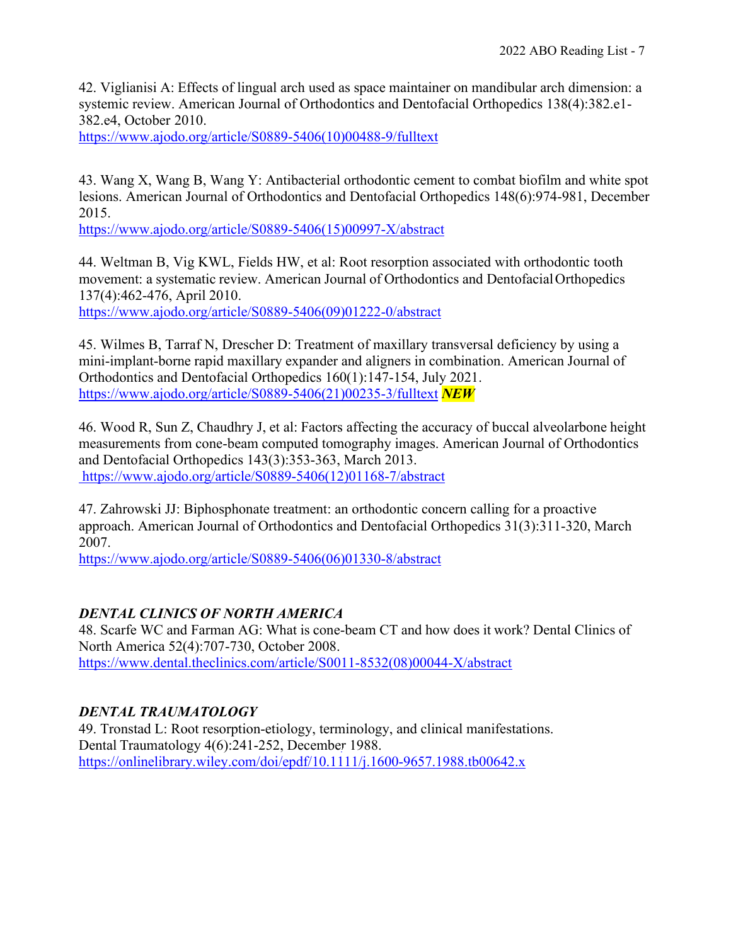42. Viglianisi A: Effects of lingual arch used as space maintainer on mandibular arch dimension: a systemic review. American Journal of Orthodontics and Dentofacial Orthopedics 138(4):382.e1- 382.e4, October 2010.

[https://www.ajodo.org/article/S0889-5406\(10\)00488-9/fulltext](https://www.ajodo.org/article/S0889-5406(10)00488-9/fulltext)

43. Wang X, Wang B, Wang Y: Antibacterial orthodontic cement to combat biofilm and white spot lesions. American Journal of Orthodontics and Dentofacial Orthopedics 148(6):974-981, December 2015.

[https://www.ajodo.org/article/S0889-5406\(15\)00997-X/abstract](https://www.ajodo.org/article/S0889-5406(15)00997-X/abstract)

44. Weltman B, Vig KWL, Fields HW, et al: Root resorption associated with orthodontic tooth movement: a systematic review. American Journal of Orthodontics and DentofacialOrthopedics 137(4):462-476, April 2010.

[https://www.ajodo.org/article/S0889-5406\(09\)01222-0/abstract](https://www.ajodo.org/article/S0889-5406(09)01222-0/abstract)

45. Wilmes B, Tarraf N, Drescher D: Treatment of maxillary transversal deficiency by using a mini-implant-borne rapid maxillary expander and aligners in combination. American Journal of Orthodontics and Dentofacial Orthopedics 160(1):147-154, July 2021. [https://www.ajodo.org/article/S0889-5406\(21\)00235-3/fulltext](https://www.ajodo.org/article/S0889-5406(21)00235-3/fulltext) *NEW*

46. Wood R, Sun Z, Chaudhry J, et al: Factors affecting the accuracy of buccal alveolarbone height measurements from cone-beam computed tomography images. American Journal of Orthodontics and Dentofacial Orthopedics 143(3):353-363, March 2013. [https://www.ajodo.org/article/S0889-5406\(12\)01168-7/abstract](https://www.ajodo.org/article/S0889-5406(12)01168-7/abstract)

47. Zahrowski JJ: Biphosphonate treatment: an orthodontic concern calling for a proactive approach. American Journal of Orthodontics and Dentofacial Orthopedics 31(3):311-320, March 2007.

[https://www.ajodo.org/article/S0889-5406\(06\)01330-8/abstract](https://www.ajodo.org/article/S0889-5406(06)01330-8/abstract)

#### *DENTAL CLINICS OF NORTH AMERICA*

48. Scarfe WC and Farman AG: What is cone-beam CT and how does it work? Dental Clinics of North America 52(4):707-730, October 2008. [https://www.dental.theclinics.com/article/S0011-8532\(08\)00044-X/abstract](https://www.dental.theclinics.com/article/S0011-8532(08)00044-X/abstract)

#### *DENTAL TRAUMATOLOGY*

49. Tronstad L: Root resorption-etiology, terminology, and clinical manifestations. Dental Traumatology 4(6):241-252, December 1988. <https://onlinelibrary.wiley.com/doi/epdf/10.1111/j.1600-9657.1988.tb00642.x>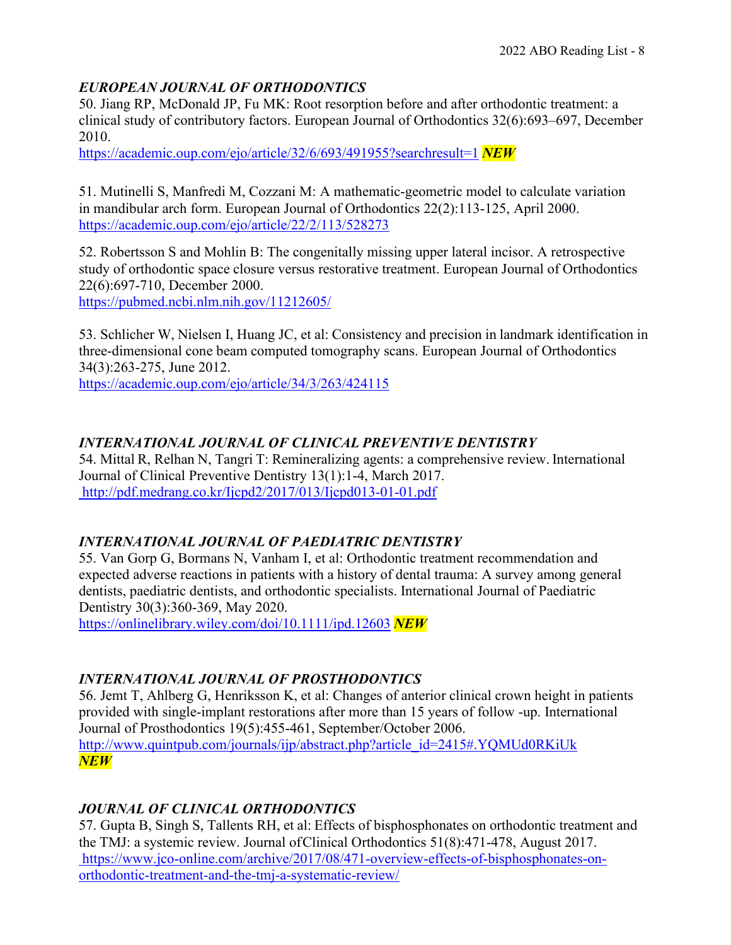#### *EUROPEAN JOURNAL OF ORTHODONTICS*

50. Jiang RP, McDonald JP, Fu MK: Root resorption before and after orthodontic treatment: a clinical study of contributory factors. European Journal of Orthodontics 32(6):693–697, December 2010.

<https://academic.oup.com/ejo/article/32/6/693/491955?searchresult=1> *NEW*

51. Mutinelli S, Manfredi M, Cozzani M: A mathematic-geometric model to calculate variation in mandibular arch form. European Journal of Orthodontics 22(2):113-125, April 2000. <https://academic.oup.com/ejo/article/22/2/113/528273>

52. Robertsson S and Mohlin B: The congenitally missing upper lateral incisor. A retrospective study of orthodontic space closure versus restorative treatment. European Journal of Orthodontics 22(6):697-710, December 2000.

<https://pubmed.ncbi.nlm.nih.gov/11212605/>

53. Schlicher W, Nielsen I, Huang JC, et al: Consistency and precision in landmark identification in three-dimensional cone beam computed tomography scans. European Journal of Orthodontics 34(3):263-275, June 2012.

<https://academic.oup.com/ejo/article/34/3/263/424115>

#### *INTERNATIONAL JOURNAL OF CLINICAL PREVENTIVE DENTISTRY*

54. Mittal R, Relhan N, Tangri T: Remineralizing agents: a comprehensive review. International Journal of Clinical Preventive Dentistry 13(1):1-4, March 2017. <http://pdf.medrang.co.kr/Ijcpd2/2017/013/Ijcpd013-01-01.pdf>

#### *INTERNATIONAL JOURNAL OF PAEDIATRIC DENTISTRY*

55. Van Gorp G, Bormans N, Vanham I, et al: Orthodontic treatment recommendation and expected adverse reactions in patients with a history of dental trauma: A survey among general dentists, paediatric dentists, and orthodontic specialists. International Journal of Paediatric Dentistry 30(3):360-369, May 2020.

<https://onlinelibrary.wiley.com/doi/10.1111/ipd.12603> *NEW*

#### *INTERNATIONAL JOURNAL OF PROSTHODONTICS*

56. Jemt T, Ahlberg G, Henriksson K, et al: Changes of anterior clinical crown height in patients provided with single-implant restorations after more than 15 years of follow -up. International Journal of Prosthodontics 19(5):455-461, September/October 2006. [http://www.quintpub.com/journals/ijp/abstract.php?article\\_id=2415#.YQMUd0RKiUk](http://www.quintpub.com/journals/ijp/abstract.php?article_id=2415&.YQMUd0RKiUk) *NEW*

#### *JOURNAL OF CLINICAL ORTHODONTICS*

57. Gupta B, Singh S, Tallents RH, et al: Effects of bisphosphonates on orthodontic treatment and the TMJ: a systemic review. Journal ofClinical Orthodontics 51(8):471-478, August 2017. [https://www.jco-online.com/archive/2017/08/471-overview-effects-of-bisphosphonates-on](https://www.jco-online.com/archive/2017/08/471-overview-effects-of-bisphosphonates-on-orthodontic-treatment-and-the-tmj-a-systematic-review/)[orthodontic-treatment-and-the-tmj-a-systematic-review/](https://www.jco-online.com/archive/2017/08/471-overview-effects-of-bisphosphonates-on-orthodontic-treatment-and-the-tmj-a-systematic-review/)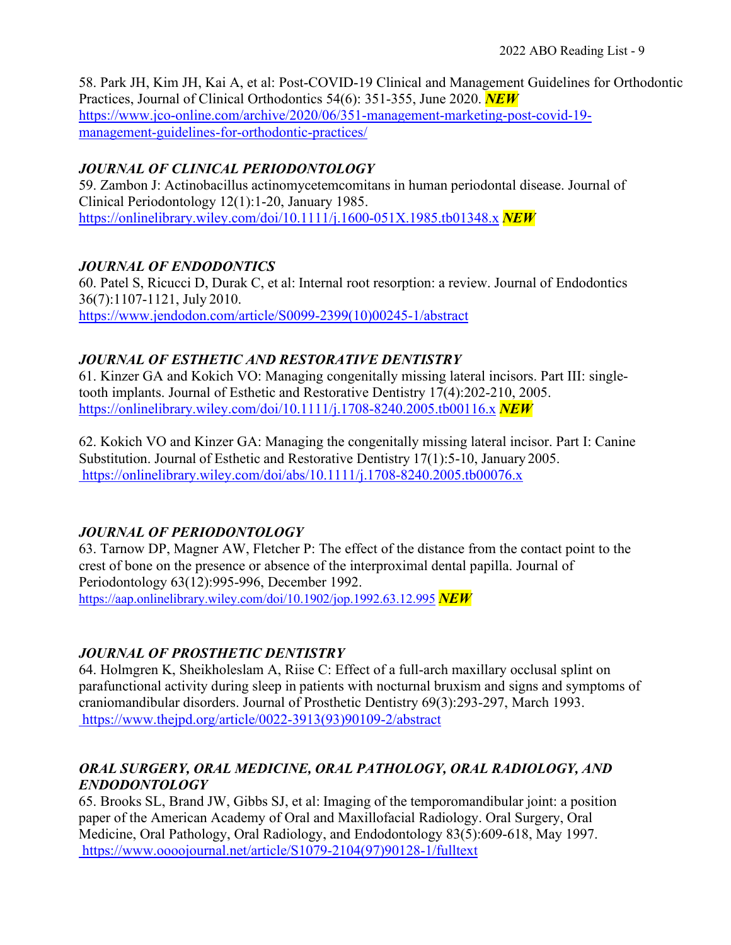58. Park JH, Kim JH, Kai A, et al: Post-COVID-19 Clinical and Management Guidelines for Orthodontic Practices, Journal of Clinical Orthodontics 54(6): 351-355, June 2020. *NEW* [https://www.jco-online.com/archive/2020/06/351-management-marketing-post-covid-19](https://www.jco-online.com/archive/2020/06/351-management-marketing-post-covid-19-management-guidelines-for-orthodontic-practices/) [management-guidelines-for-orthodontic-practices/](https://www.jco-online.com/archive/2020/06/351-management-marketing-post-covid-19-management-guidelines-for-orthodontic-practices/)

#### *JOURNAL OF CLINICAL PERIODONTOLOGY*

59. Zambon J: Actinobacillus actinomycetemcomitans in human periodontal disease. Journal of Clinical Periodontology 12(1):1-20, January 1985. <https://onlinelibrary.wiley.com/doi/10.1111/j.1600-051X.1985.tb01348.x> *NEW*

# *JOURNAL OF ENDODONTICS*

60. Patel S, Ricucci D, Durak C, et al: Internal root resorption: a review. Journal of Endodontics 36(7):1107-1121, July 2010. [https://www.jendodon.com/article/S0099-2399\(10\)00245-1/abstract](https://www.jendodon.com/article/S0099-2399(10)00245-1/abstract)

# *JOURNAL OF ESTHETIC AND RESTORATIVE DENTISTRY*

61. Kinzer GA and Kokich VO: Managing congenitally missing lateral incisors. Part III: singletooth implants. Journal of Esthetic and Restorative Dentistry 17(4):202-210, 2005. <https://onlinelibrary.wiley.com/doi/10.1111/j.1708-8240.2005.tb00116.x> *NEW*

62. Kokich VO and Kinzer GA: Managing the congenitally missing lateral incisor. Part I: Canine Substitution. Journal of Esthetic and Restorative Dentistry 17(1):5-10, January 2005. <https://onlinelibrary.wiley.com/doi/abs/10.1111/j.1708-8240.2005.tb00076.x>

# *JOURNAL OF PERIODONTOLOGY*

63. Tarnow DP, Magner AW, Fletcher P: The effect of the distance from the contact point to the crest of bone on the presence or absence of the interproximal dental papilla. Journal of Periodontology 63(12):995-996, December 1992. <https://aap.onlinelibrary.wiley.com/doi/10.1902/jop.1992.63.12.995> *NEW*

# *JOURNAL OF PROSTHETIC DENTISTRY*

64. Holmgren K, Sheikholeslam A, Riise C: Effect of a full-arch maxillary occlusal splint on parafunctional activity during sleep in patients with nocturnal bruxism and signs and symptoms of craniomandibular disorders. Journal of Prosthetic Dentistry 69(3):293-297, March 1993. [https://www.thejpd.org/article/0022-3913\(93\)90109-2/abstract](https://www.thejpd.org/article/0022-3913(93)90109-2/abstract)

# *ORAL SURGERY, ORAL MEDICINE, ORAL PATHOLOGY, ORAL RADIOLOGY, AND ENDODONTOLOGY*

65. Brooks SL, Brand JW, Gibbs SJ, et al: Imaging of the temporomandibular joint: a position paper of the American Academy of Oral and Maxillofacial Radiology. Oral Surgery, Oral Medicine, Oral Pathology, Oral Radiology, and Endodontology 83(5):609-618, May 1997. [https://www.oooojournal.net/article/S1079-2104\(97\)90128-1/fulltext](https://www.oooojournal.net/article/S1079-2104(97)90128-1/fulltext)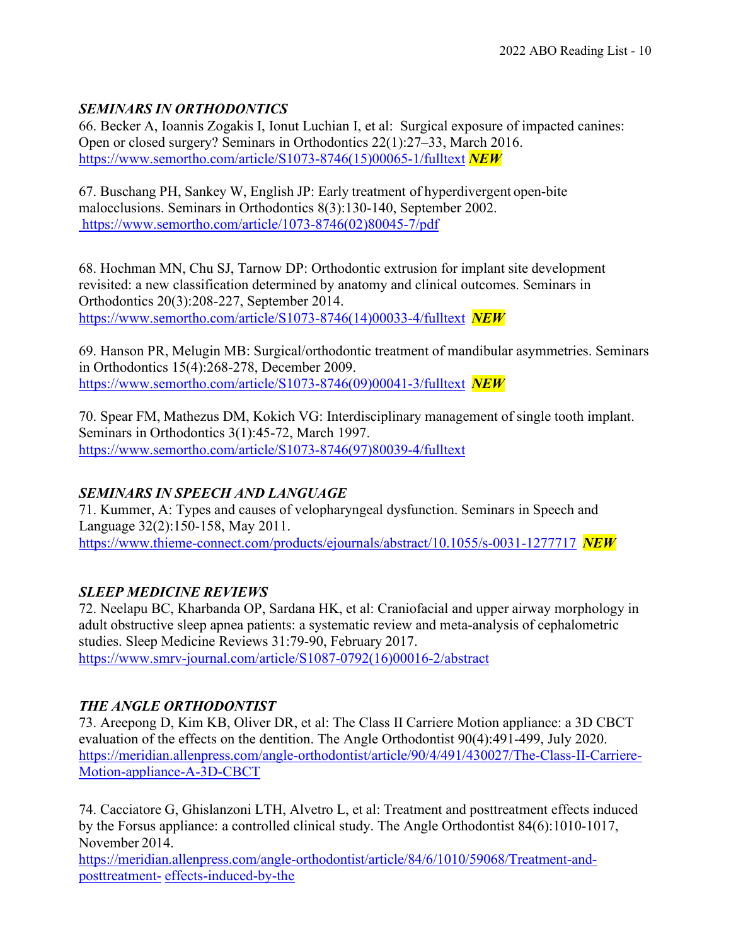# *SEMINARS IN ORTHODONTICS*

66. Becker A, Ioannis Zogakis I, Ionut Luchian I, et al: Surgical exposure of impacted canines: Open or closed surgery? Seminars in Orthodontics 22(1):27–33, March 2016. [https://www.semortho.com/article/S1073-8746\(15\)00065-1/fulltext](https://www.semortho.com/article/S1073-8746(15)00065-1/fulltext) *NEW*

67. Buschang PH, Sankey W, English JP: Early treatment of hyperdivergent open-bite malocclusions. Seminars in Orthodontics 8(3):130-140, September 2002. [https://www.semortho.com/article/1073-8746\(02\)80045-7/pdf](https://www.semortho.com/article/1073-8746(02)80045-7/pdf)

68. Hochman MN, Chu SJ, Tarnow DP: Orthodontic extrusion for implant site development revisited: a new classification determined by anatomy and clinical outcomes. Seminars in Orthodontics 20(3):208-227, September 2014. [https://www.semortho.com/article/S1073-8746\(14\)00033-4/fulltext](https://www.semortho.com/article/S1073-8746(14)00033-4/fulltext) *NEW*

69. Hanson PR, Melugin MB: Surgical/orthodontic treatment of mandibular asymmetries. Seminars in Orthodontics 15(4):268-278, December 2009. [https://www.semortho.com/article/S1073-8746\(09\)00041-3/fulltext](https://www.semortho.com/article/S1073-8746(09)00041-3/fulltext) *NEW*

70. Spear FM, Mathezus DM, Kokich VG: Interdisciplinary management of single tooth implant. Seminars in Orthodontics 3(1):45-72, March 1997. [https://www.semortho.com/article/S1073-8746\(97\)80039-4/fulltext](https://www.semortho.com/article/S1073-8746(97)80039-4/fulltext)

# *SEMINARS IN SPEECH AND LANGUAGE*

71. Kummer, A: Types and causes of velopharyngeal dysfunction. Seminars in Speech and Language 32(2):150-158, May 2011. <https://www.thieme-connect.com/products/ejournals/abstract/10.1055/s-0031-1277717> *NEW*

# *SLEEP MEDICINE REVIEWS*

72. Neelapu BC, Kharbanda OP, Sardana HK, et al: Craniofacial and upper airway morphology in adult obstructive sleep apnea patients: a systematic review and meta-analysis of cephalometric studies. Sleep Medicine Reviews 31:79-90, February 2017. [https://www.smrv-journal.com/article/S1087-0792\(16\)00016-2/abstract](https://www.smrv-journal.com/article/S1087-0792(16)00016-2/abstract)

# *THE ANGLE ORTHODONTIST*

73. Areepong D, Kim KB, Oliver DR, et al: The Class II Carriere Motion appliance: a 3D CBCT evaluation of the effects on the dentition. The Angle Orthodontist 90(4):491-499, July 2020. [https://meridian.allenpress.com/angle-orthodontist/article/90/4/491/430027/The-Class-II-Carriere](https://meridian.allenpress.com/angle-orthodontist/article/90/4/491/430027/The-Class-II-Carriere-)[-](https://meridian.allenpress.com/angle-orthodontist/article/90/4/491/430027/The-Class-II-Carriere-Motion-appliance-A-3D-CBCT)[Motion-appliance-A-3D-CBCT](https://meridian.allenpress.com/angle-orthodontist/article/90/4/491/430027/The-Class-II-Carriere-Motion-appliance-A-3D-CBCT)

74. Cacciatore G, Ghislanzoni LTH, Alvetro L, et al: Treatment and posttreatment effects induced by the Forsus appliance: a controlled clinical study. The Angle Orthodontist 84(6):1010-1017, November 2014.

[https://meridian.allenpress.com/angle-orthodontist/article/84/6/1010/59068/Treatment-and](https://meridian.allenpress.com/angle-orthodontist/article/84/6/1010/59068/Treatment-and-posttreatment-effects-induced-by-the)[posttreatment-](https://meridian.allenpress.com/angle-orthodontist/article/84/6/1010/59068/Treatment-and-posttreatment-effects-induced-by-the) [effects-induced-by-the](https://meridian.allenpress.com/angle-orthodontist/article/84/6/1010/59068/Treatment-and-posttreatment-effects-induced-by-the)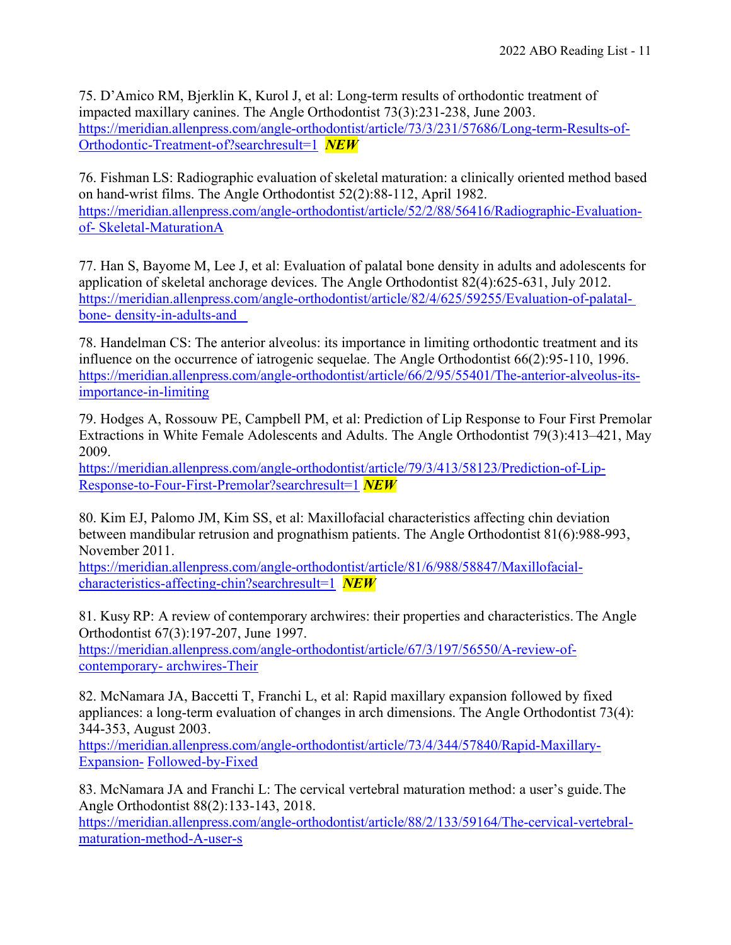75. D'Amico RM, Bjerklin K, Kurol J, et al: Long-term results of orthodontic treatment of impacted maxillary canines. The Angle Orthodontist 73(3):231-238, June 2003. [https://meridian.allenpress.com/angle-orthodontist/article/73/3/231/57686/Long-term-Results-of-](https://meridian.allenpress.com/angle-orthodontist/article/73/3/231/57686/Long-term-Results-of-Orthodontic-Treatment-of?searchresult=1)[Orthodontic-Treatment-of?searchresult=1](https://meridian.allenpress.com/angle-orthodontist/article/73/3/231/57686/Long-term-Results-of-Orthodontic-Treatment-of?searchresult=1) *NEW*

76. Fishman LS: Radiographic evaluation of skeletal maturation: a clinically oriented method based on hand-wrist films. The Angle Orthodontist 52(2):88-112, April 1982. [https://meridian.allenpress.com/angle-orthodontist/article/52/2/88/56416/Radiographic-Evaluation](https://meridian.allenpress.com/angle-orthodontist/article/52/2/88/56416/Radiographic-Evaluation-of-Skeletal-MaturationA)[of-](https://meridian.allenpress.com/angle-orthodontist/article/52/2/88/56416/Radiographic-Evaluation-of-Skeletal-MaturationA) [Skeletal-MaturationA](https://meridian.allenpress.com/angle-orthodontist/article/52/2/88/56416/Radiographic-Evaluation-of-Skeletal-MaturationA)

77. Han S, Bayome M, Lee J, et al: Evaluation of palatal bone density in adults and adolescents for application of skeletal anchorage devices. The Angle Orthodontist 82(4):625-631, July 2012. [https://meridian.allenpress.com/angle-orthodontist/article/82/4/625/59255/Evaluation-of-palatal](https://meridian.allenpress.com/angle-orthodontist/article/82/4/625/59255/Evaluation-of-palatal-%20bone-%20density-in-adults-and)bone- [density-in-adults-and](https://meridian.allenpress.com/angle-orthodontist/article/82/4/625/59255/Evaluation-of-palatal-%20bone-%20density-in-adults-and) 

78. Handelman CS: The anterior alveolus: its importance in limiting orthodontic treatment and its influence on the occurrence of iatrogenic sequelae. The Angle Orthodontist 66(2):95-110, 1996. [https://meridian.allenpress.com/angle-orthodontist/article/66/2/95/55401/The-anterior-alveolus-its](https://meridian.allenpress.com/angle-orthodontist/article/66/2/95/55401/The-anterior-alveolus-its-importance-in-limiting)[importance-in-limiting](https://meridian.allenpress.com/angle-orthodontist/article/66/2/95/55401/The-anterior-alveolus-its-importance-in-limiting)

79. Hodges A, Rossouw PE, Campbell PM, et al: Prediction of Lip Response to Four First Premolar Extractions in White Female Adolescents and Adults. The Angle Orthodontist 79(3):413–421, May 2009.

[https://meridian.allenpress.com/angle-orthodontist/article/79/3/413/58123/Prediction-of-Lip-](https://meridian.allenpress.com/angle-orthodontist/article/79/3/413/58123/Prediction-of-Lip-Response-to-Four-First-Premolar?searchresult=1)[Response-to-Four-First-Premolar?searchresult=1](https://meridian.allenpress.com/angle-orthodontist/article/79/3/413/58123/Prediction-of-Lip-Response-to-Four-First-Premolar?searchresult=1) *NEW*

80. Kim EJ, Palomo JM, Kim SS, et al: Maxillofacial characteristics affecting chin deviation between mandibular retrusion and prognathism patients. The Angle Orthodontist 81(6):988-993, November 2011.

[https://meridian.allenpress.com/angle-orthodontist/article/81/6/988/58847/Maxillofacial](https://meridian.allenpress.com/angle-orthodontist/article/81/6/988/58847/Maxillofacial-characteristics-affecting-chin?searchresult=1)[characteristics-affecting-chin?searchresult=1](https://meridian.allenpress.com/angle-orthodontist/article/81/6/988/58847/Maxillofacial-characteristics-affecting-chin?searchresult=1) *NEW*

81. Kusy RP: A review of contemporary archwires: their properties and characteristics. The Angle Orthodontist 67(3):197-207, June 1997.

[https://meridian.allenpress.com/angle-orthodontist/article/67/3/197/56550/A-review-of](https://meridian.allenpress.com/angle-orthodontist/article/67/3/197/56550/A-review-of-contemporary-archwires-Their)[contemporary-](https://meridian.allenpress.com/angle-orthodontist/article/67/3/197/56550/A-review-of-contemporary-archwires-Their) [archwires-Their](https://meridian.allenpress.com/angle-orthodontist/article/67/3/197/56550/A-review-of-contemporary-archwires-Their)

82. McNamara JA, Baccetti T, Franchi L, et al: Rapid maxillary expansion followed by fixed appliances: a long-term evaluation of changes in arch dimensions. The Angle Orthodontist 73(4): 344-353, August 2003.

[https://meridian.allenpress.com/angle-orthodontist/article/73/4/344/57840/Rapid-Maxillary-](https://meridian.allenpress.com/angle-orthodontist/article/73/4/344/57840/Rapid-Maxillary-Expansion-Followed-by-Fixed)[Expansion-](https://meridian.allenpress.com/angle-orthodontist/article/73/4/344/57840/Rapid-Maxillary-Expansion-Followed-by-Fixed) [Followed-by-Fixed](https://meridian.allenpress.com/angle-orthodontist/article/73/4/344/57840/Rapid-Maxillary-Expansion-Followed-by-Fixed)

83. McNamara JA and Franchi L: The cervical vertebral maturation method: a user's guide.The Angle Orthodontist 88(2):133-143, 2018.

[https://meridian.allenpress.com/angle-orthodontist/article/88/2/133/59164/The-cervical-vertebral](https://meridian.allenpress.com/angle-orthodontist/article/88/2/133/59164/The-cervical-vertebral-maturation-method-A-user-s)[maturation-method-A-user-s](https://meridian.allenpress.com/angle-orthodontist/article/88/2/133/59164/The-cervical-vertebral-maturation-method-A-user-s)